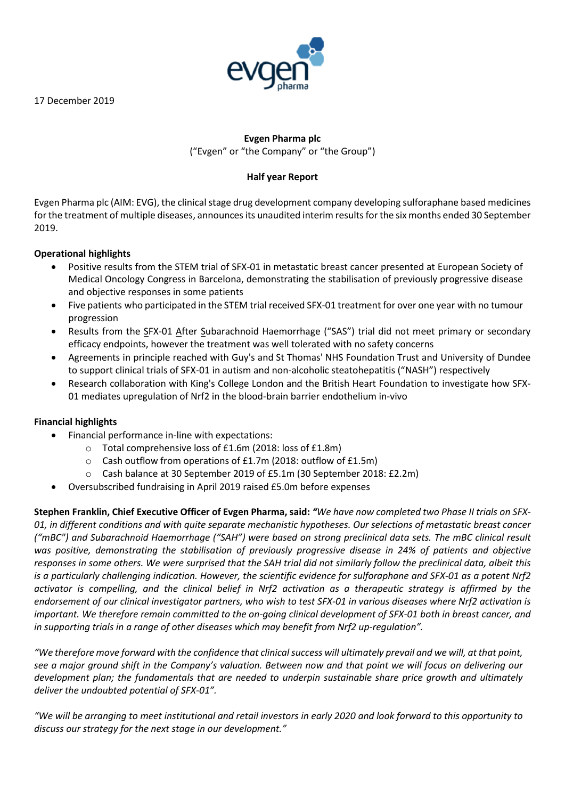17 December 2019



# **Evgen Pharma plc**  ("Evgen" or "the Company" or "the Group")

# **Half year Report**

Evgen Pharma plc (AIM: EVG), the clinical stage drug development company developing sulforaphane based medicines for the treatment of multiple diseases, announces its unaudited interim results for the six months ended 30 September 2019.

# **Operational highlights**

- Positive results from the STEM trial of SFX-01 in metastatic breast cancer presented at European Society of Medical Oncology Congress in Barcelona, demonstrating the stabilisation of previously progressive disease and objective responses in some patients
- Five patients who participated in the STEM trial received SFX-01 treatment for over one year with no tumour progression
- Results from the SFX-01 After Subarachnoid Haemorrhage ("SAS") trial did not meet primary or secondary efficacy endpoints, however the treatment was well tolerated with no safety concerns
- Agreements in principle reached with Guy's and St Thomas' NHS Foundation Trust and University of Dundee to support clinical trials of SFX-01 in autism and non-alcoholic steatohepatitis ("NASH") respectively
- Research collaboration with King's College London and the British Heart Foundation to investigate how SFX-01 mediates upregulation of Nrf2 in the blood-brain barrier endothelium in-vivo

# **Financial highlights**

- Financial performance in-line with expectations:
	- o Total comprehensive loss of £1.6m (2018: loss of £1.8m)
	- o Cash outflow from operations of £1.7m (2018: outflow of £1.5m)
	- o Cash balance at 30 September 2019 of £5.1m (30 September 2018: £2.2m)
- Oversubscribed fundraising in April 2019 raised £5.0m before expenses

**Stephen Franklin, Chief Executive Officer of Evgen Pharma, said:** *"We have now completed two Phase II trials on SFX-01, in different conditions and with quite separate mechanistic hypotheses. Our selections of metastatic breast cancer ("mBC") and Subarachnoid Haemorrhage ("SAH") were based on strong preclinical data sets. The mBC clinical result was positive, demonstrating the stabilisation of previously progressive disease in 24% of patients and objective responses in some others. We were surprised that the SAH trial did not similarly follow the preclinical data, albeit this is a particularly challenging indication. However, the scientific evidence for sulforaphane and SFX-01 as a potent Nrf2 activator is compelling, and the clinical belief in Nrf2 activation as a therapeutic strategy is affirmed by the endorsement of our clinical investigator partners, who wish to test SFX-01 in various diseases where Nrf2 activation is important. We therefore remain committed to the on-going clinical development of SFX-01 both in breast cancer, and in supporting trials in a range of other diseases which may benefit from Nrf2 up-regulation".*

*"We therefore move forward with the confidence that clinical success will ultimately prevail and we will, at that point, see a major ground shift in the Company's valuation. Between now and that point we will focus on delivering our development plan; the fundamentals that are needed to underpin sustainable share price growth and ultimately deliver the undoubted potential of SFX-01".*

*"We will be arranging to meet institutional and retail investors in early 2020 and look forward to this opportunity to discuss our strategy for the next stage in our development."*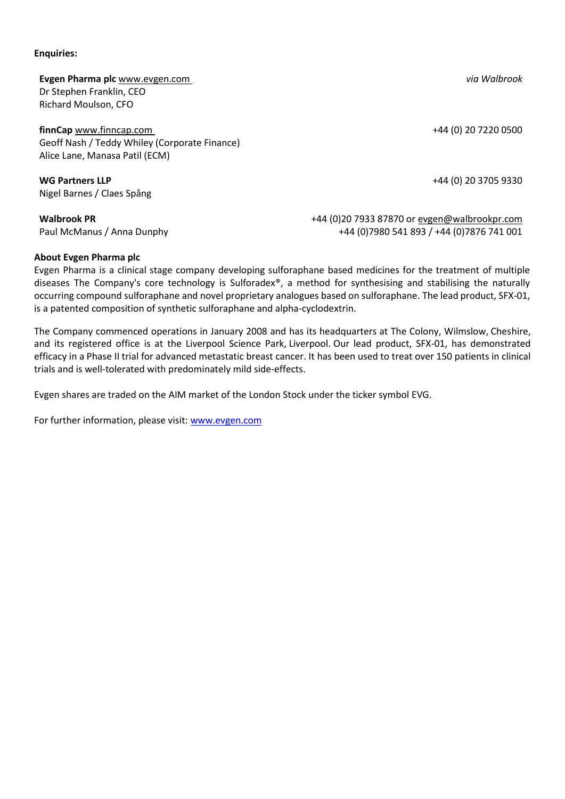**Enquiries:**

**Evgen Pharma plc** [www.evgen.com](http://www.evgen.com/) *via Walbrook* Dr Stephen Franklin, CEO Richard Moulson, CFO

**finnCap** [www.finncap.com](http://www.finncap.com/) **https://www.finncap.com** +44 (0) 20 7220 0500 Geoff Nash / Teddy Whiley (Corporate Finance) Alice Lane, Manasa Patil (ECM)

**WG Partners LLP**  $+44$  (0) 20 3705 9330 Nigel Barnes / Claes Spång

**Walbrook PR** +44 (0)20 7933 87870 or [evgen@walbrookpr.com](mailto:evgen@walbrookpr.com) Paul McManus / Anna Dunphy +44 (0)7980 541 893 / +44 (0)7876 741 001

**About Evgen Pharma plc** Evgen Pharma is a clinical stage company developing sulforaphane based medicines for the treatment of multiple diseases The Company's core technology is Sulforadex®, a method for synthesising and stabilising the naturally occurring compound sulforaphane and novel proprietary analogues based on sulforaphane. The lead product, SFX-01, is a patented composition of synthetic sulforaphane and alpha-cyclodextrin. 

The Company commenced operations in January 2008 and has its headquarters at The Colony, Wilmslow, Cheshire, and its registered office is at the Liverpool Science Park, Liverpool. Our lead product, SFX-01, has demonstrated efficacy in a Phase II trial for advanced metastatic breast cancer. It has been used to treat over 150 patients in clinical trials and is well-tolerated with predominately mild side-effects.

Evgen shares are traded on the AIM market of the London Stock under the ticker symbol EVG.

For further information, please visit: [www.evgen.com](http://www.evgen.com/)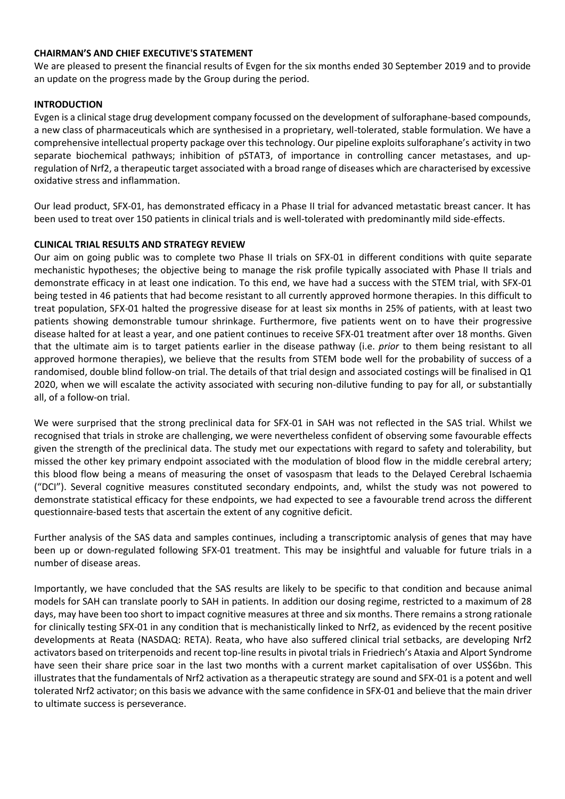# **CHAIRMAN'S AND CHIEF EXECUTIVE'S STATEMENT**

We are pleased to present the financial results of Evgen for the six months ended 30 September 2019 and to provide an update on the progress made by the Group during the period.

# **INTRODUCTION**

Evgen is a clinical stage drug development company focussed on the development of sulforaphane-based compounds, a new class of pharmaceuticals which are synthesised in a proprietary, well-tolerated, stable formulation. We have a comprehensive intellectual property package over this technology. Our pipeline exploits sulforaphane's activity in two separate biochemical pathways; inhibition of pSTAT3, of importance in controlling cancer metastases, and upregulation of Nrf2, a therapeutic target associated with a broad range of diseases which are characterised by excessive oxidative stress and inflammation.

Our lead product, SFX-01, has demonstrated efficacy in a Phase II trial for advanced metastatic breast cancer. It has been used to treat over 150 patients in clinical trials and is well-tolerated with predominantly mild side-effects.

# **CLINICAL TRIAL RESULTS AND STRATEGY REVIEW**

Our aim on going public was to complete two Phase II trials on SFX-01 in different conditions with quite separate mechanistic hypotheses; the objective being to manage the risk profile typically associated with Phase II trials and demonstrate efficacy in at least one indication. To this end, we have had a success with the STEM trial, with SFX-01 being tested in 46 patients that had become resistant to all currently approved hormone therapies. In this difficult to treat population, SFX-01 halted the progressive disease for at least six months in 25% of patients, with at least two patients showing demonstrable tumour shrinkage. Furthermore, five patients went on to have their progressive disease halted for at least a year, and one patient continues to receive SFX-01 treatment after over 18 months. Given that the ultimate aim is to target patients earlier in the disease pathway (i.e. *prior* to them being resistant to all approved hormone therapies), we believe that the results from STEM bode well for the probability of success of a randomised, double blind follow-on trial. The details of that trial design and associated costings will be finalised in Q1 2020, when we will escalate the activity associated with securing non-dilutive funding to pay for all, or substantially all, of a follow-on trial.

We were surprised that the strong preclinical data for SFX-01 in SAH was not reflected in the SAS trial. Whilst we recognised that trials in stroke are challenging, we were nevertheless confident of observing some favourable effects given the strength of the preclinical data. The study met our expectations with regard to safety and tolerability, but missed the other key primary endpoint associated with the modulation of blood flow in the middle cerebral artery; this blood flow being a means of measuring the onset of vasospasm that leads to the Delayed Cerebral Ischaemia ("DCI"). Several cognitive measures constituted secondary endpoints, and, whilst the study was not powered to demonstrate statistical efficacy for these endpoints, we had expected to see a favourable trend across the different questionnaire-based tests that ascertain the extent of any cognitive deficit.

Further analysis of the SAS data and samples continues, including a transcriptomic analysis of genes that may have been up or down-regulated following SFX-01 treatment. This may be insightful and valuable for future trials in a number of disease areas.

Importantly, we have concluded that the SAS results are likely to be specific to that condition and because animal models for SAH can translate poorly to SAH in patients. In addition our dosing regime, restricted to a maximum of 28 days, may have been too short to impact cognitive measures at three and six months. There remains a strong rationale for clinically testing SFX-01 in any condition that is mechanistically linked to Nrf2, as evidenced by the recent positive developments at Reata (NASDAQ: RETA). Reata, who have also suffered clinical trial setbacks, are developing Nrf2 activators based on triterpenoids and recent top-line results in pivotal trials in Friedriech's Ataxia and Alport Syndrome have seen their share price soar in the last two months with a current market capitalisation of over US\$6bn. This illustrates that the fundamentals of Nrf2 activation as a therapeutic strategy are sound and SFX-01 is a potent and well tolerated Nrf2 activator; on this basis we advance with the same confidence in SFX-01 and believe that the main driver to ultimate success is perseverance.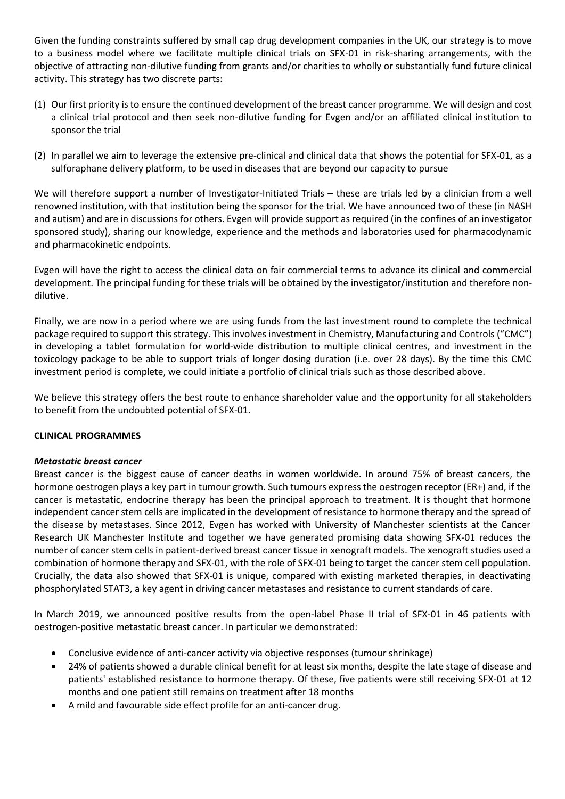Given the funding constraints suffered by small cap drug development companies in the UK, our strategy is to move to a business model where we facilitate multiple clinical trials on SFX-01 in risk-sharing arrangements, with the objective of attracting non-dilutive funding from grants and/or charities to wholly or substantially fund future clinical activity. This strategy has two discrete parts:

- (1) Our first priority is to ensure the continued development of the breast cancer programme. We will design and cost a clinical trial protocol and then seek non-dilutive funding for Evgen and/or an affiliated clinical institution to sponsor the trial
- (2) In parallel we aim to leverage the extensive pre-clinical and clinical data that shows the potential for SFX-01, as a sulforaphane delivery platform, to be used in diseases that are beyond our capacity to pursue

We will therefore support a number of Investigator-Initiated Trials – these are trials led by a clinician from a well renowned institution, with that institution being the sponsor for the trial. We have announced two of these (in NASH and autism) and are in discussions for others. Evgen will provide support as required (in the confines of an investigator sponsored study), sharing our knowledge, experience and the methods and laboratories used for pharmacodynamic and pharmacokinetic endpoints.

Evgen will have the right to access the clinical data on fair commercial terms to advance its clinical and commercial development. The principal funding for these trials will be obtained by the investigator/institution and therefore nondilutive.

Finally, we are now in a period where we are using funds from the last investment round to complete the technical package required to support this strategy. This involves investment in Chemistry, Manufacturing and Controls ("CMC") in developing a tablet formulation for world-wide distribution to multiple clinical centres, and investment in the toxicology package to be able to support trials of longer dosing duration (i.e. over 28 days). By the time this CMC investment period is complete, we could initiate a portfolio of clinical trials such as those described above.

We believe this strategy offers the best route to enhance shareholder value and the opportunity for all stakeholders to benefit from the undoubted potential of SFX-01.

# **CLINICAL PROGRAMMES**

# *Metastatic breast cancer*

Breast cancer is the biggest cause of cancer deaths in women worldwide. In around 75% of breast cancers, the hormone oestrogen plays a key part in tumour growth. Such tumours express the oestrogen receptor (ER+) and, if the cancer is metastatic, endocrine therapy has been the principal approach to treatment. It is thought that hormone independent cancer stem cells are implicated in the development of resistance to hormone therapy and the spread of the disease by metastases. Since 2012, Evgen has worked with University of Manchester scientists at the Cancer Research UK Manchester Institute and together we have generated promising data showing SFX-01 reduces the number of cancer stem cells in patient-derived breast cancer tissue in xenograft models. The xenograft studies used a combination of hormone therapy and SFX-01, with the role of SFX-01 being to target the cancer stem cell population. Crucially, the data also showed that SFX-01 is unique, compared with existing marketed therapies, in deactivating phosphorylated STAT3, a key agent in driving cancer metastases and resistance to current standards of care.

In March 2019, we announced positive results from the open-label Phase II trial of SFX-01 in 46 patients with oestrogen‐positive metastatic breast cancer. In particular we demonstrated:

- Conclusive evidence of anti‐cancer activity via objective responses (tumour shrinkage)
- 24% of patients showed a durable clinical benefit for at least six months, despite the late stage of disease and patients' established resistance to hormone therapy. Of these, five patients were still receiving SFX-01 at 12 months and one patient still remains on treatment after 18 months
- A mild and favourable side effect profile for an anti-cancer drug.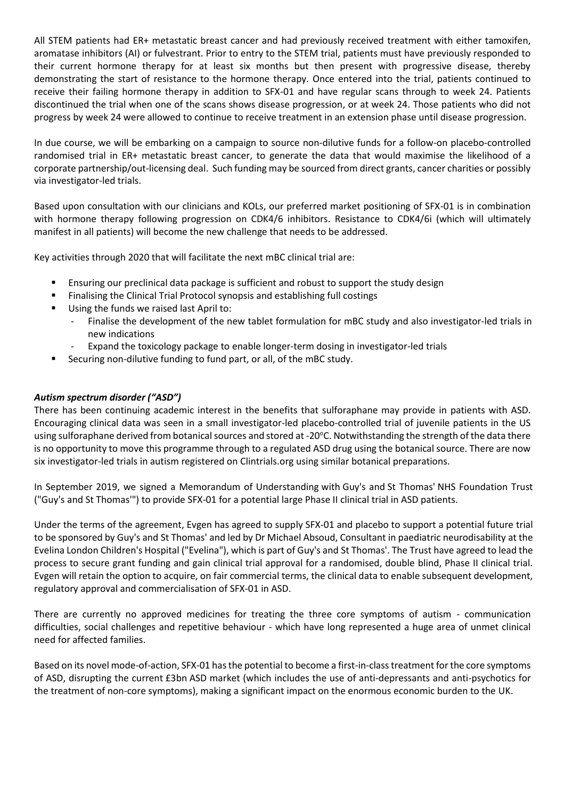All STEM patients had ER+ metastatic breast cancer and had previously received treatment with either tamoxifen, aromatase inhibitors (AI) or fulvestrant. Prior to entry to the STEM trial, patients must have previously responded to their current hormone therapy for at least six months but then present with progressive disease, thereby demonstrating the start of resistance to the hormone therapy. Once entered into the trial, patients continued to receive their failing hormone therapy in addition to SFX-01 and have regular scans through to week 24. Patients discontinued the trial when one of the scans shows disease progression, or at week 24. Those patients who did not progress by week 24 were allowed to continue to receive treatment in an extension phase until disease progression.

In due course, we will be embarking on a campaign to source non-dilutive funds for a follow-on placebo-controlled randomised trial in ER+ metastatic breast cancer, to generate the data that would maximise the likelihood of a corporate partnership/out-licensing deal. Such funding may be sourced from direct grants, cancer charities or possibly via investigator-led trials.

Based upon consultation with our clinicians and KOLs, our preferred market positioning of SFX-01 is in combination with hormone therapy following progression on CDK4/6 inhibitors. Resistance to CDK4/6i (which will ultimately manifest in all patients) will become the new challenge that needs to be addressed.

Key activities through 2020 that will facilitate the next mBC clinical trial are:

- Ensuring our preclinical data package is sufficient and robust to support the study design
- Finalising the Clinical Trial Protocol synopsis and establishing full costings
- Using the funds we raised last April to:
	- Finalise the development of the new tablet formulation for mBC study and also investigator-led trials in new indications
	- Expand the toxicology package to enable longer-term dosing in investigator-led trials
- Securing non-dilutive funding to fund part, or all, of the mBC study.

# *Autism spectrum disorder ("ASD")*

There has been continuing academic interest in the benefits that sulforaphane may provide in patients with ASD. Encouraging clinical data was seen in a small investigator-led placebo-controlled trial of juvenile patients in the US using sulforaphane derived from botanical sources and stored at -20°C. Notwithstanding the strength of the data there is no opportunity to move this programme through to a regulated ASD drug using the botanical source. There are now six investigator-led trials in autism registered on Clintrials.org using similar botanical preparations.

In September 2019, we signed a Memorandum of Understanding with Guy's and St Thomas' NHS Foundation Trust ("Guy's and St Thomas'") to provide SFX-01 for a potential large Phase II clinical trial in ASD patients.

Under the terms of the agreement, Evgen has agreed to supply SFX-01 and placebo to support a potential future trial to be sponsored by Guy's and St Thomas' and led by Dr Michael Absoud, Consultant in paediatric neurodisability at the Evelina London Children's Hospital ("Evelina"), which is part of Guy's and St Thomas'. The Trust have agreed to lead the process to secure grant funding and gain clinical trial approval for a randomised, double blind, Phase II clinical trial. Evgen will retain the option to acquire, on fair commercial terms, the clinical data to enable subsequent development, regulatory approval and commercialisation of SFX-01 in ASD.

There are currently no approved medicines for treating the three core symptoms of autism - communication difficulties, social challenges and repetitive behaviour - which have long represented a huge area of unmet clinical need for affected families.

Based on its novel mode-of-action, SFX-01 has the potential to become a first-in-class treatment for the core symptoms of ASD, disrupting the current £3bn ASD market (which includes the use of anti-depressants and anti-psychotics for the treatment of non-core symptoms), making a significant impact on the enormous economic burden to the UK.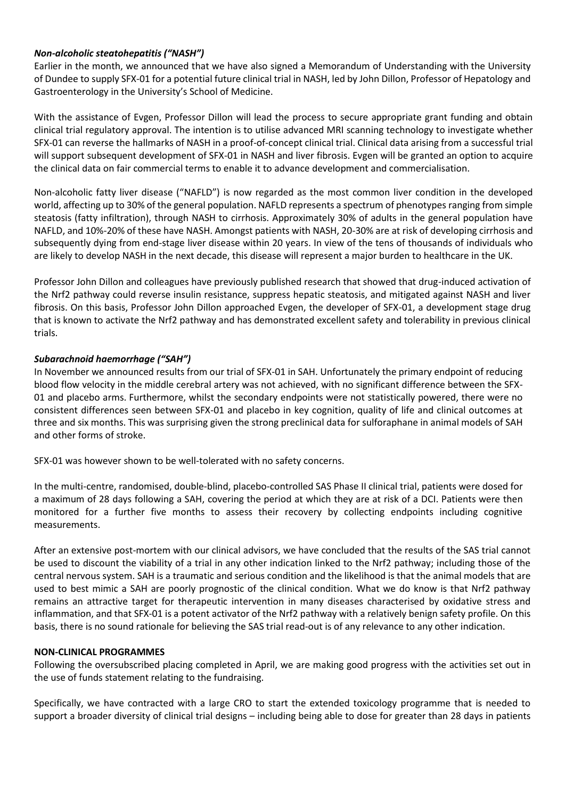# *Non-alcoholic steatohepatitis ("NASH")*

Earlier in the month, we announced that we have also signed a Memorandum of Understanding with the University of Dundee to supply SFX-01 for a potential future clinical trial in NASH, led by John Dillon, Professor of Hepatology and Gastroenterology in the University's School of Medicine.

With the assistance of Evgen, Professor Dillon will lead the process to secure appropriate grant funding and obtain clinical trial regulatory approval. The intention is to utilise advanced MRI scanning technology to investigate whether SFX-01 can reverse the hallmarks of NASH in a proof-of-concept clinical trial. Clinical data arising from a successful trial will support subsequent development of SFX-01 in NASH and liver fibrosis. Evgen will be granted an option to acquire the clinical data on fair commercial terms to enable it to advance development and commercialisation.

Non-alcoholic fatty liver disease ("NAFLD") is now regarded as the most common liver condition in the developed world, affecting up to 30% of the general population. NAFLD represents a spectrum of phenotypes ranging from simple steatosis (fatty infiltration), through NASH to cirrhosis. Approximately 30% of adults in the general population have NAFLD, and 10%-20% of these have NASH. Amongst patients with NASH, 20-30% are at risk of developing cirrhosis and subsequently dying from end-stage liver disease within 20 years. In view of the tens of thousands of individuals who are likely to develop NASH in the next decade, this disease will represent a major burden to healthcare in the UK.

Professor John Dillon and colleagues have previously published research that showed that drug-induced activation of the Nrf2 pathway could reverse insulin resistance, suppress hepatic steatosis, and mitigated against NASH and liver fibrosis. On this basis, Professor John Dillon approached Evgen, the developer of SFX-01, a development stage drug that is known to activate the Nrf2 pathway and has demonstrated excellent safety and tolerability in previous clinical trials.

# *Subarachnoid haemorrhage ("SAH")*

In November we announced results from our trial of SFX-01 in SAH. Unfortunately the primary endpoint of reducing blood flow velocity in the middle cerebral artery was not achieved, with no significant difference between the SFX-01 and placebo arms. Furthermore, whilst the secondary endpoints were not statistically powered, there were no consistent differences seen between SFX-01 and placebo in key cognition, quality of life and clinical outcomes at three and six months. This was surprising given the strong preclinical data for sulforaphane in animal models of SAH and other forms of stroke.

SFX-01 was however shown to be well-tolerated with no safety concerns.

In the multi-centre, randomised, double-blind, placebo-controlled SAS Phase II clinical trial, patients were dosed for a maximum of 28 days following a SAH, covering the period at which they are at risk of a DCI. Patients were then monitored for a further five months to assess their recovery by collecting endpoints including cognitive measurements.

After an extensive post-mortem with our clinical advisors, we have concluded that the results of the SAS trial cannot be used to discount the viability of a trial in any other indication linked to the Nrf2 pathway; including those of the central nervous system. SAH is a traumatic and serious condition and the likelihood is that the animal models that are used to best mimic a SAH are poorly prognostic of the clinical condition. What we do know is that Nrf2 pathway remains an attractive target for therapeutic intervention in many diseases characterised by oxidative stress and inflammation, and that SFX-01 is a potent activator of the Nrf2 pathway with a relatively benign safety profile. On this basis, there is no sound rationale for believing the SAS trial read-out is of any relevance to any other indication.

## **NON-CLINICAL PROGRAMMES**

Following the oversubscribed placing completed in April, we are making good progress with the activities set out in the use of funds statement relating to the fundraising.

Specifically, we have contracted with a large CRO to start the extended toxicology programme that is needed to support a broader diversity of clinical trial designs – including being able to dose for greater than 28 days in patients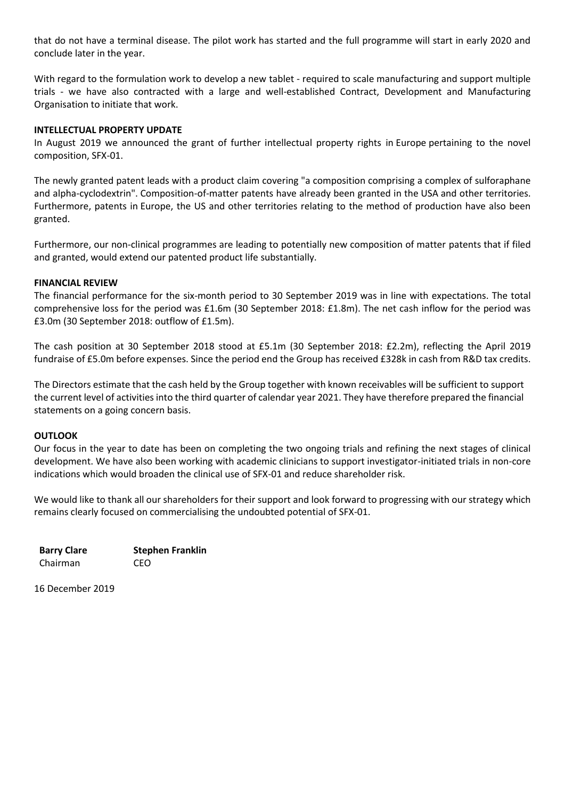that do not have a terminal disease. The pilot work has started and the full programme will start in early 2020 and conclude later in the year.

With regard to the formulation work to develop a new tablet - required to scale manufacturing and support multiple trials - we have also contracted with a large and well-established Contract, Development and Manufacturing Organisation to initiate that work.

## **INTELLECTUAL PROPERTY UPDATE**

In August 2019 we announced the grant of further intellectual property rights in Europe pertaining to the novel composition, SFX-01.

The newly granted patent leads with a product claim covering "a composition comprising a complex of sulforaphane and alpha-cyclodextrin". Composition-of-matter patents have already been granted in the USA and other territories. Furthermore, patents in Europe, the US and other territories relating to the method of production have also been granted.

Furthermore, our non-clinical programmes are leading to potentially new composition of matter patents that if filed and granted, would extend our patented product life substantially.

# **FINANCIAL REVIEW**

The financial performance for the six-month period to 30 September 2019 was in line with expectations. The total comprehensive loss for the period was £1.6m (30 September 2018: £1.8m). The net cash inflow for the period was £3.0m (30 September 2018: outflow of £1.5m).

The cash position at 30 September 2018 stood at £5.1m (30 September 2018: £2.2m), reflecting the April 2019 fundraise of £5.0m before expenses. Since the period end the Group has received £328k in cash from R&D tax credits.

The Directors estimate that the cash held by the Group together with known receivables will be sufficient to support the current level of activities into the third quarter of calendar year 2021. They have therefore prepared the financial statements on a going concern basis.

## **OUTLOOK**

Our focus in the year to date has been on completing the two ongoing trials and refining the next stages of clinical development. We have also been working with academic clinicians to support investigator-initiated trials in non-core indications which would broaden the clinical use of SFX-01 and reduce shareholder risk.

We would like to thank all our shareholders for their support and look forward to progressing with our strategy which remains clearly focused on commercialising the undoubted potential of SFX-01.

**Barry Clare Stephen Franklin** Chairman CEO

16 December 2019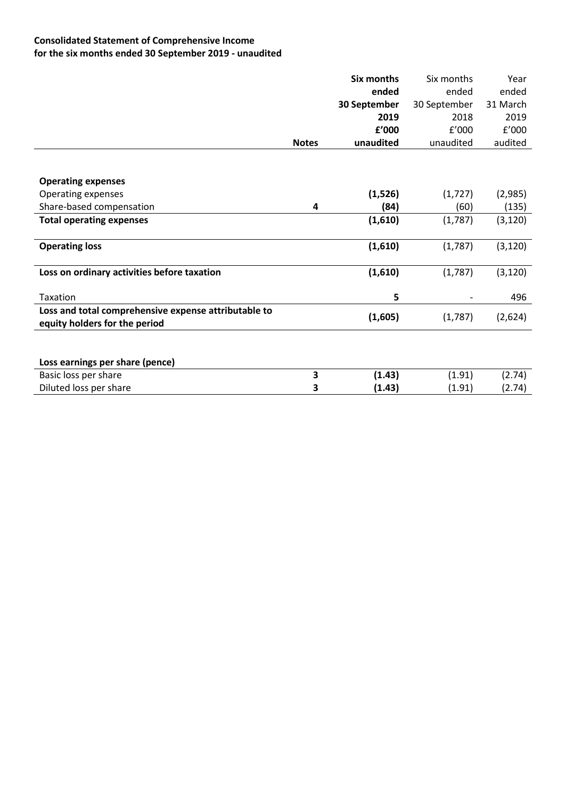# **Consolidated Statement of Comprehensive Income for the six months ended 30 September 2019 - unaudited**

|                                                      |              | <b>Six months</b> | Six months   | Year     |
|------------------------------------------------------|--------------|-------------------|--------------|----------|
|                                                      |              | ended             | ended        | ended    |
|                                                      |              | 30 September      | 30 September | 31 March |
|                                                      |              | 2019              | 2018         | 2019     |
|                                                      |              | £'000             | f'000        | f'000    |
|                                                      | <b>Notes</b> | unaudited         | unaudited    | audited  |
|                                                      |              |                   |              |          |
|                                                      |              |                   |              |          |
| <b>Operating expenses</b>                            |              |                   |              |          |
| <b>Operating expenses</b>                            |              | (1,526)           | (1, 727)     | (2,985)  |
| Share-based compensation                             | 4            | (84)              | (60)         | (135)    |
| <b>Total operating expenses</b>                      |              | (1,610)           | (1,787)      | (3, 120) |
|                                                      |              |                   |              |          |
| <b>Operating loss</b>                                |              | (1,610)           | (1,787)      | (3, 120) |
|                                                      |              |                   |              |          |
| Loss on ordinary activities before taxation          |              | (1,610)           | (1,787)      | (3, 120) |
|                                                      |              |                   |              |          |
| Taxation                                             |              | 5                 |              | 496      |
| Loss and total comprehensive expense attributable to |              |                   |              |          |
| equity holders for the period                        |              | (1,605)           | (1,787)      | (2,624)  |
|                                                      |              |                   |              |          |
|                                                      |              |                   |              |          |
| Loss earnings per share (pence)                      |              |                   |              |          |
| Basic loss per share                                 | 3            | (1.43)            | (1.91)       | (2.74)   |
| Diluted loss per share                               | 3            | (1.43)            | (1.91)       | (2.74)   |
|                                                      |              |                   |              |          |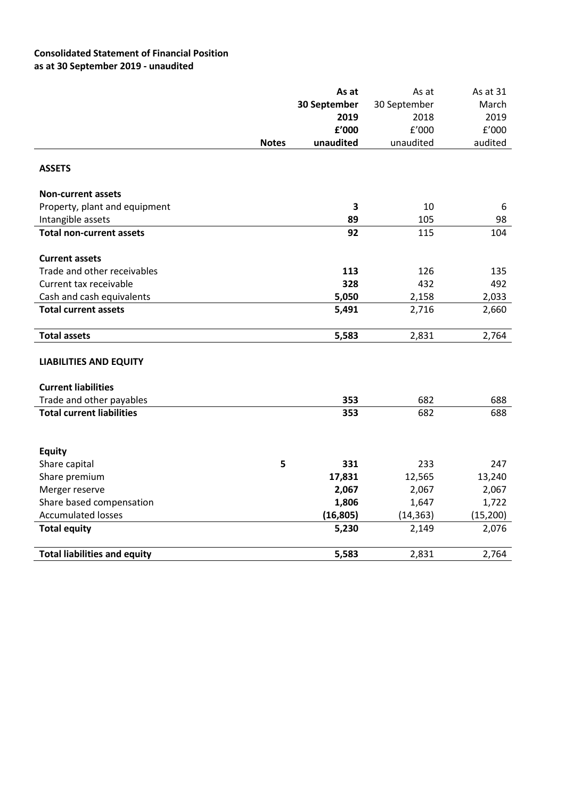# **Consolidated Statement of Financial Position as at 30 September 2019 - unaudited**

|                                     |              | As at                   | As at        | As at 31              |
|-------------------------------------|--------------|-------------------------|--------------|-----------------------|
|                                     |              | 30 September            | 30 September | March                 |
|                                     |              | 2019                    | 2018         | 2019                  |
|                                     |              | £'000                   | f'000        | ${\tt f}^{\prime}000$ |
|                                     | <b>Notes</b> | unaudited               | unaudited    | audited               |
| <b>ASSETS</b>                       |              |                         |              |                       |
| <b>Non-current assets</b>           |              |                         |              |                       |
| Property, plant and equipment       |              | $\overline{\mathbf{3}}$ | 10           | 6                     |
| Intangible assets                   |              | 89                      | 105          | 98                    |
| <b>Total non-current assets</b>     |              | 92                      | 115          | 104                   |
| <b>Current assets</b>               |              |                         |              |                       |
| Trade and other receivables         |              | 113                     | 126          | 135                   |
| Current tax receivable              |              | 328                     | 432          | 492                   |
| Cash and cash equivalents           |              | 5,050                   | 2,158        | 2,033                 |
| <b>Total current assets</b>         |              | 5,491                   | 2,716        | 2,660                 |
| <b>Total assets</b>                 |              | 5,583                   | 2,831        | 2,764                 |
| <b>LIABILITIES AND EQUITY</b>       |              |                         |              |                       |
| <b>Current liabilities</b>          |              |                         |              |                       |
| Trade and other payables            |              | 353                     | 682          | 688                   |
| <b>Total current liabilities</b>    |              | 353                     | 682          | 688                   |
|                                     |              |                         |              |                       |
| <b>Equity</b><br>Share capital      | 5            | 331                     | 233          | 247                   |
| Share premium                       |              | 17,831                  | 12,565       | 13,240                |
| Merger reserve                      |              | 2,067                   | 2,067        | 2,067                 |
| Share based compensation            |              | 1,806                   | 1,647        | 1,722                 |
| <b>Accumulated losses</b>           |              | (16, 805)               | (14, 363)    | (15, 200)             |
| <b>Total equity</b>                 |              | 5,230                   | 2,149        | 2,076                 |
| <b>Total liabilities and equity</b> |              | 5,583                   | 2,831        | 2,764                 |
|                                     |              |                         |              |                       |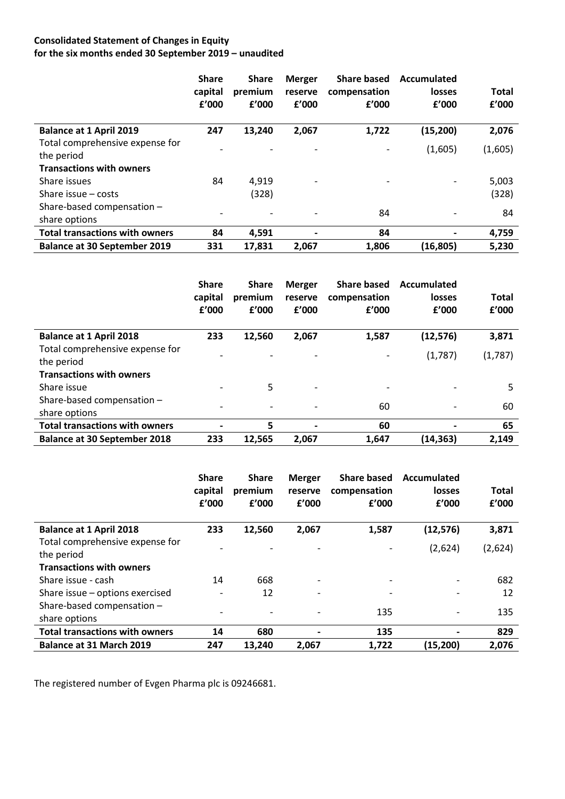# **Consolidated Statement of Changes in Equity for the six months ended 30 September 2019 – unaudited**

|                                       | <b>Share</b><br>capital<br>f'000 | <b>Share</b><br>premium<br>f'000 | <b>Merger</b><br>reserve<br>f'000 | <b>Share based</b><br>compensation<br>£'000 | Accumulated<br><b>losses</b><br>f'000 | <b>Total</b><br>£'000 |
|---------------------------------------|----------------------------------|----------------------------------|-----------------------------------|---------------------------------------------|---------------------------------------|-----------------------|
| <b>Balance at 1 April 2019</b>        | 247                              | 13,240                           | 2,067                             | 1,722                                       | (15, 200)                             | 2,076                 |
| Total comprehensive expense for       |                                  |                                  |                                   |                                             | (1,605)                               | (1,605)               |
| the period                            |                                  |                                  |                                   |                                             |                                       |                       |
| <b>Transactions with owners</b>       |                                  |                                  |                                   |                                             |                                       |                       |
| Share issues                          | 84                               | 4,919                            | $\overline{\phantom{a}}$          | $\overline{\phantom{a}}$                    |                                       | 5,003                 |
| Share issue $-$ costs                 |                                  | (328)                            |                                   |                                             |                                       | (328)                 |
| Share-based compensation -            |                                  |                                  |                                   |                                             |                                       |                       |
| share options                         | $\qquad \qquad \blacksquare$     | $\overline{\phantom{a}}$         |                                   | 84                                          |                                       | 84                    |
| <b>Total transactions with owners</b> | 84                               | 4,591                            | $\overline{\phantom{0}}$          | 84                                          |                                       | 4,759                 |
| <b>Balance at 30 September 2019</b>   | 331                              | 17,831                           | 2.067                             | 1,806                                       | (16, 805)                             | 5,230                 |

|                                               | <b>Share</b><br>capital<br>f'000 | <b>Share</b><br>premium<br>f'000 | <b>Merger</b><br>reserve<br>f'000 | <b>Share based</b><br>compensation<br>f'000 | Accumulated<br><b>losses</b><br>f'000 | <b>Total</b><br>f'000 |
|-----------------------------------------------|----------------------------------|----------------------------------|-----------------------------------|---------------------------------------------|---------------------------------------|-----------------------|
| <b>Balance at 1 April 2018</b>                | 233                              | 12,560                           | 2,067                             | 1,587                                       | (12, 576)                             | 3,871                 |
| Total comprehensive expense for<br>the period |                                  |                                  |                                   |                                             | (1,787)                               | (1,787)               |
| <b>Transactions with owners</b>               |                                  |                                  |                                   |                                             |                                       |                       |
| Share issue                                   |                                  | 5                                | $\overline{\phantom{0}}$          | ٠                                           |                                       | 5                     |
| Share-based compensation -<br>share options   |                                  |                                  | $\overline{\phantom{a}}$          | 60                                          |                                       | 60                    |
| <b>Total transactions with owners</b>         |                                  | 5                                | $\hbox{\small -}$                 | 60                                          |                                       | 65                    |
| <b>Balance at 30 September 2018</b>           | 233                              | 12,565                           | 2,067                             | 1,647                                       | (14,363)                              | 2,149                 |

|                                               | <b>Share</b><br>capital<br>f'000 | <b>Share</b><br>premium<br>£'000 | <b>Merger</b><br>reserve<br>f'000 | <b>Share based</b><br>compensation<br>f'000 | Accumulated<br>losses<br>f'000 | <b>Total</b><br>f'000 |
|-----------------------------------------------|----------------------------------|----------------------------------|-----------------------------------|---------------------------------------------|--------------------------------|-----------------------|
| <b>Balance at 1 April 2018</b>                | 233                              | 12,560                           | 2,067                             | 1,587                                       | (12, 576)                      | 3,871                 |
| Total comprehensive expense for<br>the period |                                  |                                  |                                   |                                             | (2,624)                        | (2,624)               |
| <b>Transactions with owners</b>               |                                  |                                  |                                   |                                             |                                |                       |
| Share issue - cash                            | 14                               | 668                              | $\overline{a}$                    |                                             | $\overline{\phantom{a}}$       | 682                   |
| Share issue - options exercised               |                                  | 12                               |                                   |                                             |                                | 12                    |
| Share-based compensation -<br>share options   |                                  |                                  |                                   | 135                                         | $\overline{\phantom{0}}$       | 135                   |
| <b>Total transactions with owners</b>         | 14                               | 680                              |                                   | 135                                         |                                | 829                   |
| <b>Balance at 31 March 2019</b>               | 247                              | 13,240                           | 2,067                             | 1,722                                       | (15, 200)                      | 2,076                 |

The registered number of Evgen Pharma plc is 09246681.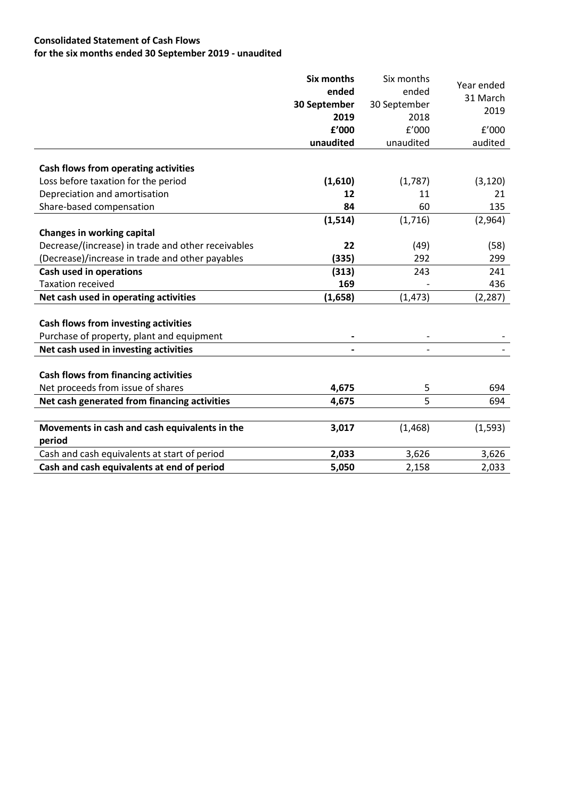# **Consolidated Statement of Cash Flows for the six months ended 30 September 2019 - unaudited**

|                                                    | <b>Six months</b> | Six months   | Year ended |
|----------------------------------------------------|-------------------|--------------|------------|
|                                                    | ended             | ended        | 31 March   |
|                                                    | 30 September      | 30 September | 2019       |
|                                                    | 2019              | 2018         |            |
|                                                    | £'000             | f'000        | f'000      |
|                                                    | unaudited         | unaudited    | audited    |
|                                                    |                   |              |            |
| Cash flows from operating activities               |                   |              |            |
| Loss before taxation for the period                | (1,610)           | (1,787)      | (3, 120)   |
| Depreciation and amortisation                      | 12                | 11           | 21         |
| Share-based compensation                           | 84                | 60           | 135        |
|                                                    | (1, 514)          | (1,716)      | (2,964)    |
| <b>Changes in working capital</b>                  |                   |              |            |
| Decrease/(increase) in trade and other receivables | 22                | (49)         | (58)       |
| (Decrease)/increase in trade and other payables    | (335)             | 292          | 299        |
| <b>Cash used in operations</b>                     | (313)             | 243          | 241        |
| <b>Taxation received</b>                           | 169               |              | 436        |
| Net cash used in operating activities              | (1,658)           | (1, 473)     | (2, 287)   |
|                                                    |                   |              |            |
| Cash flows from investing activities               |                   |              |            |
| Purchase of property, plant and equipment          |                   |              |            |
| Net cash used in investing activities              |                   |              |            |
|                                                    |                   |              |            |
| <b>Cash flows from financing activities</b>        |                   |              |            |
| Net proceeds from issue of shares                  | 4,675             | 5            | 694        |
| Net cash generated from financing activities       | 4,675             | 5            | 694        |
|                                                    |                   |              |            |
| Movements in cash and cash equivalents in the      | 3,017             | (1, 468)     | (1, 593)   |
| period                                             |                   |              |            |
| Cash and cash equivalents at start of period       | 2,033             | 3,626        | 3,626      |
| Cash and cash equivalents at end of period         | 5,050             | 2,158        | 2,033      |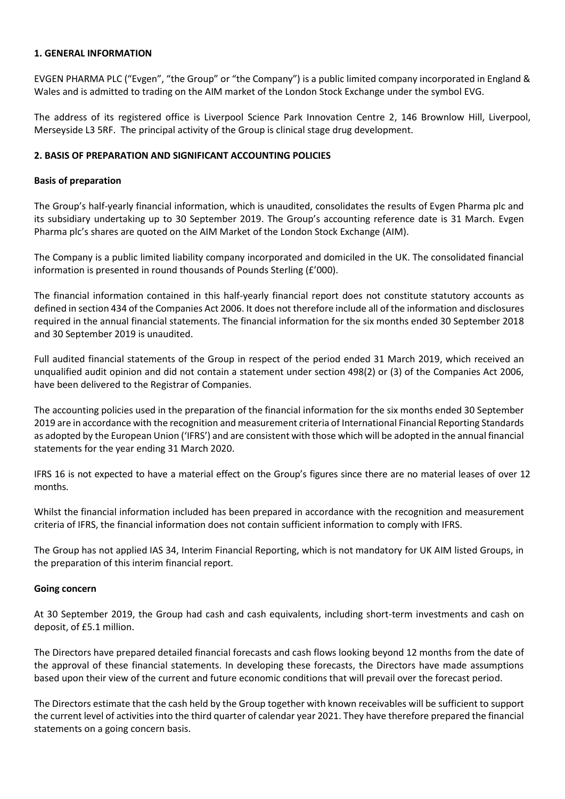## **1. GENERAL INFORMATION**

EVGEN PHARMA PLC ("Evgen", "the Group" or "the Company") is a public limited company incorporated in England & Wales and is admitted to trading on the AIM market of the London Stock Exchange under the symbol EVG.

The address of its registered office is Liverpool Science Park Innovation Centre 2, 146 Brownlow Hill, Liverpool, Merseyside L3 5RF. The principal activity of the Group is clinical stage drug development.

## **2. BASIS OF PREPARATION AND SIGNIFICANT ACCOUNTING POLICIES**

## **Basis of preparation**

The Group's half-yearly financial information, which is unaudited, consolidates the results of Evgen Pharma plc and its subsidiary undertaking up to 30 September 2019. The Group's accounting reference date is 31 March. Evgen Pharma plc's shares are quoted on the AIM Market of the London Stock Exchange (AIM).

The Company is a public limited liability company incorporated and domiciled in the UK. The consolidated financial information is presented in round thousands of Pounds Sterling (£'000).

The financial information contained in this half-yearly financial report does not constitute statutory accounts as defined in section 434 of the Companies Act 2006. It does not therefore include all of the information and disclosures required in the annual financial statements. The financial information for the six months ended 30 September 2018 and 30 September 2019 is unaudited.

Full audited financial statements of the Group in respect of the period ended 31 March 2019, which received an unqualified audit opinion and did not contain a statement under section 498(2) or (3) of the Companies Act 2006, have been delivered to the Registrar of Companies.

The accounting policies used in the preparation of the financial information for the six months ended 30 September 2019 are in accordance with the recognition and measurement criteria of International Financial Reporting Standards as adopted by the European Union ('IFRS') and are consistent with those which will be adopted in the annual financial statements for the year ending 31 March 2020.

IFRS 16 is not expected to have a material effect on the Group's figures since there are no material leases of over 12 months.

Whilst the financial information included has been prepared in accordance with the recognition and measurement criteria of IFRS, the financial information does not contain sufficient information to comply with IFRS.

The Group has not applied IAS 34, Interim Financial Reporting, which is not mandatory for UK AIM listed Groups, in the preparation of this interim financial report.

#### **Going concern**

At 30 September 2019, the Group had cash and cash equivalents, including short-term investments and cash on deposit, of £5.1 million.

The Directors have prepared detailed financial forecasts and cash flows looking beyond 12 months from the date of the approval of these financial statements. In developing these forecasts, the Directors have made assumptions based upon their view of the current and future economic conditions that will prevail over the forecast period.

The Directors estimate that the cash held by the Group together with known receivables will be sufficient to support the current level of activities into the third quarter of calendar year 2021. They have therefore prepared the financial statements on a going concern basis.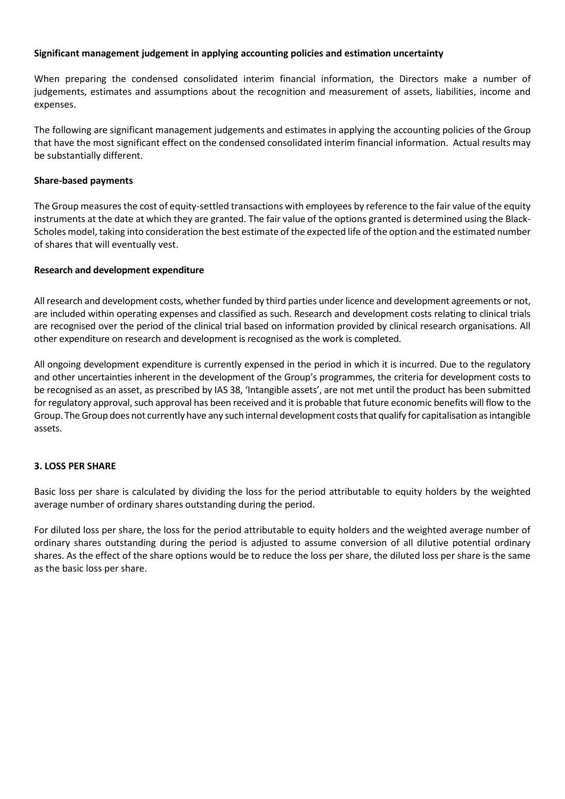## **Significant management judgement in applying accounting policies and estimation uncertainty**

When preparing the condensed consolidated interim financial information, the Directors make a number of judgements, estimates and assumptions about the recognition and measurement of assets, liabilities, income and expenses.

The following are significant management judgements and estimates in applying the accounting policies of the Group that have the most significant effect on the condensed consolidated interim financial information. Actual results may be substantially different.

# **Share-based payments**

The Group measures the cost of equity-settled transactions with employees by reference to the fair value of the equity instruments at the date at which they are granted. The fair value of the options granted is determined using the Black-Scholes model, taking into consideration the best estimate of the expected life of the option and the estimated number of shares that will eventually vest.

# **Research and development expenditure**

All research and development costs, whether funded by third parties under licence and development agreements or not, are included within operating expenses and classified as such. Research and development costs relating to clinical trials are recognised over the period of the clinical trial based on information provided by clinical research organisations. All other expenditure on research and development is recognised as the work is completed.

All ongoing development expenditure is currently expensed in the period in which it is incurred. Due to the regulatory and other uncertainties inherent in the development of the Group's programmes, the criteria for development costs to be recognised as an asset, as prescribed by IAS 38, 'Intangible assets', are not met until the product has been submitted for regulatory approval, such approval has been received and it is probable that future economic benefits will flow to the Group. The Group does not currently have any such internal development costs that qualify for capitalisation as intangible assets.

# **3. LOSS PER SHARE**

Basic loss per share is calculated by dividing the loss for the period attributable to equity holders by the weighted average number of ordinary shares outstanding during the period.

For diluted loss per share, the loss for the period attributable to equity holders and the weighted average number of ordinary shares outstanding during the period is adjusted to assume conversion of all dilutive potential ordinary shares. As the effect of the share options would be to reduce the loss per share, the diluted loss per share is the same as the basic loss per share.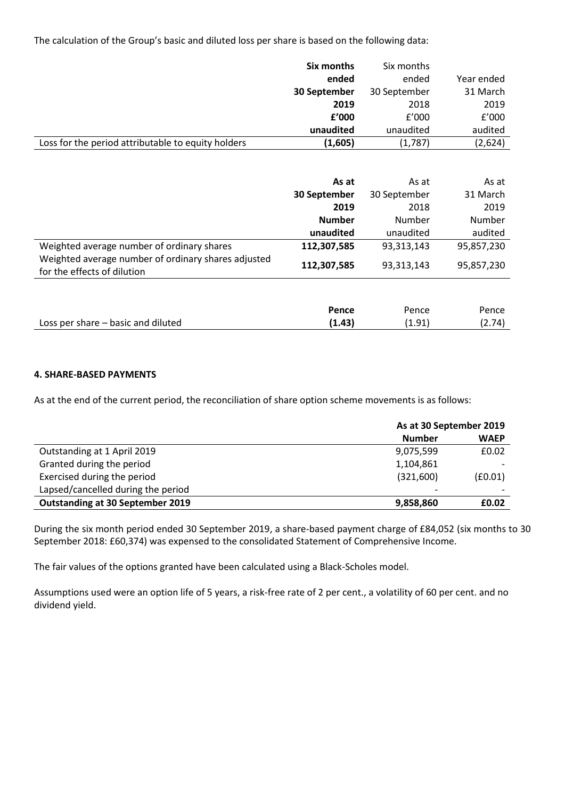The calculation of the Group's basic and diluted loss per share is based on the following data:

|                                                    | Six months   | Six months   |            |
|----------------------------------------------------|--------------|--------------|------------|
|                                                    | ended        | ended        | Year ended |
|                                                    | 30 September | 30 September | 31 March   |
|                                                    | 2019         | 2018         | 2019       |
|                                                    | f'000        | f'000        | f'000      |
|                                                    | unaudited    | unaudited    | audited    |
| Loss for the period attributable to equity holders | (1,605)      | (1,787)      | (2,624)    |

|                                                                                    | As at<br>30 September | As at<br>30 September | As at<br>31 March |
|------------------------------------------------------------------------------------|-----------------------|-----------------------|-------------------|
|                                                                                    | 2019                  | 2018                  | 2019              |
|                                                                                    | <b>Number</b>         | Number                | Number            |
|                                                                                    | unaudited             | unaudited             | audited           |
| Weighted average number of ordinary shares                                         | 112,307,585           | 93,313,143            | 95,857,230        |
| Weighted average number of ordinary shares adjusted<br>for the effects of dilution | 112,307,585           | 93,313,143            | 95,857,230        |
|                                                                                    | Pence                 | Pence                 | Pence             |

Loss per share – basic and diluted **(1.43)** (1.91) (2.74)

## **4. SHARE-BASED PAYMENTS**

As at the end of the current period, the reconciliation of share option scheme movements is as follows:

|                                         | As at 30 September 2019 |                          |  |
|-----------------------------------------|-------------------------|--------------------------|--|
|                                         | <b>Number</b>           | <b>WAEP</b>              |  |
| Outstanding at 1 April 2019             | 9,075,599               | £0.02                    |  |
| Granted during the period               | 1,104,861               |                          |  |
| Exercised during the period             | (321,600)               | (E0.01)                  |  |
| Lapsed/cancelled during the period      |                         | $\overline{\phantom{0}}$ |  |
| <b>Outstanding at 30 September 2019</b> | 9,858,860               | £0.02                    |  |

During the six month period ended 30 September 2019, a share-based payment charge of £84,052 (six months to 30 September 2018: £60,374) was expensed to the consolidated Statement of Comprehensive Income.

The fair values of the options granted have been calculated using a Black-Scholes model.

Assumptions used were an option life of 5 years, a risk-free rate of 2 per cent., a volatility of 60 per cent. and no dividend yield.